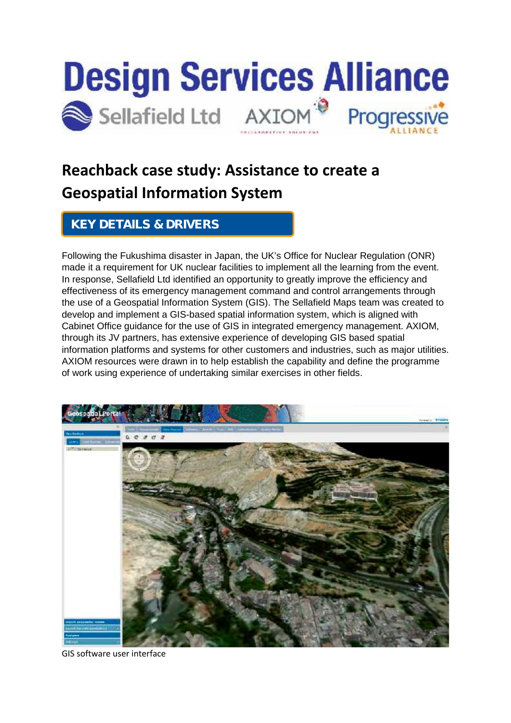

## **Reachback case study: Assistance to create a Geospatial Information System**

## **KEY DETAILS & DRIVERS**

Following the Fukushima disaster in Japan, the UK's Office for Nuclear Regulation (ONR) made it a requirement for UK nuclear facilities to implement all the learning from the event. In response, Sellafield Ltd identified an opportunity to greatly improve the efficiency and effectiveness of its emergency management command and control arrangements through the use of a Geospatial Information System (GIS). The Sellafield Maps team was created to develop and implement a GIS-based spatial information system, which is aligned with Cabinet Office guidance for the use of GIS in integrated emergency management. AXIOM, through its JV partners, has extensive experience of developing GIS based spatial information platforms and systems for other customers and industries, such as major utilities. AXIOM resources were drawn in to help establish the capability and define the programme of work using experience of undertaking similar exercises in other fields.



GIS software user interface